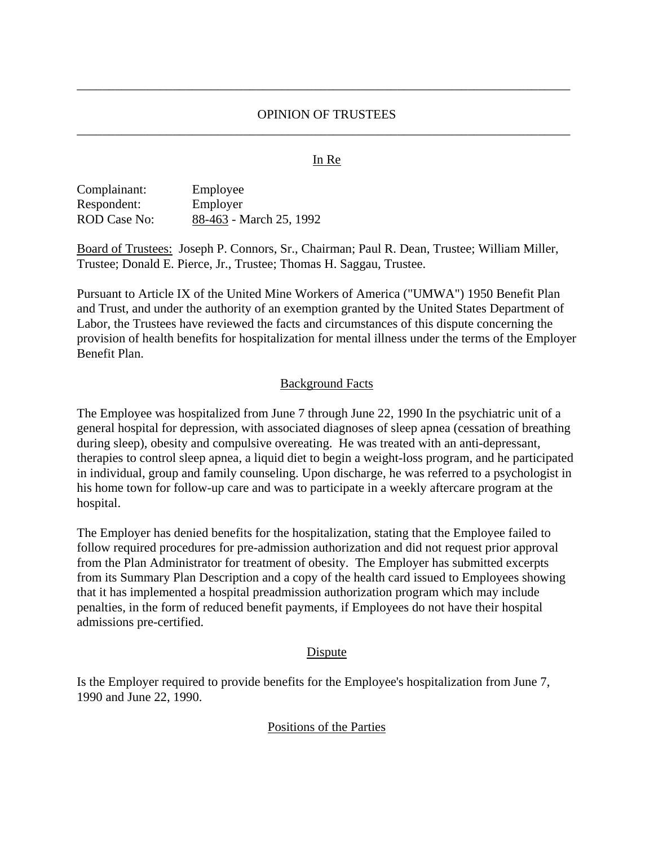## OPINION OF TRUSTEES \_\_\_\_\_\_\_\_\_\_\_\_\_\_\_\_\_\_\_\_\_\_\_\_\_\_\_\_\_\_\_\_\_\_\_\_\_\_\_\_\_\_\_\_\_\_\_\_\_\_\_\_\_\_\_\_\_\_\_\_\_\_\_\_\_\_\_\_\_\_\_\_\_\_\_\_\_

\_\_\_\_\_\_\_\_\_\_\_\_\_\_\_\_\_\_\_\_\_\_\_\_\_\_\_\_\_\_\_\_\_\_\_\_\_\_\_\_\_\_\_\_\_\_\_\_\_\_\_\_\_\_\_\_\_\_\_\_\_\_\_\_\_\_\_\_\_\_\_\_\_\_\_\_\_

### **In Re**

| Complainant:        | Employee                |
|---------------------|-------------------------|
| Respondent:         | Employer                |
| <b>ROD</b> Case No: | 88-463 - March 25, 1992 |

Board of Trustees: Joseph P. Connors, Sr., Chairman; Paul R. Dean, Trustee; William Miller, Trustee; Donald E. Pierce, Jr., Trustee; Thomas H. Saggau, Trustee.

Pursuant to Article IX of the United Mine Workers of America ("UMWA") 1950 Benefit Plan and Trust, and under the authority of an exemption granted by the United States Department of Labor, the Trustees have reviewed the facts and circumstances of this dispute concerning the provision of health benefits for hospitalization for mental illness under the terms of the Employer Benefit Plan.

#### Background Facts

The Employee was hospitalized from June 7 through June 22, 1990 In the psychiatric unit of a general hospital for depression, with associated diagnoses of sleep apnea (cessation of breathing during sleep), obesity and compulsive overeating. He was treated with an anti-depressant, therapies to control sleep apnea, a liquid diet to begin a weight-loss program, and he participated in individual, group and family counseling. Upon discharge, he was referred to a psychologist in his home town for follow-up care and was to participate in a weekly aftercare program at the hospital.

The Employer has denied benefits for the hospitalization, stating that the Employee failed to follow required procedures for pre-admission authorization and did not request prior approval from the Plan Administrator for treatment of obesity. The Employer has submitted excerpts from its Summary Plan Description and a copy of the health card issued to Employees showing that it has implemented a hospital preadmission authorization program which may include penalties, in the form of reduced benefit payments, if Employees do not have their hospital admissions pre-certified.

### Dispute

Is the Employer required to provide benefits for the Employee's hospitalization from June 7, 1990 and June 22, 1990.

### Positions of the Parties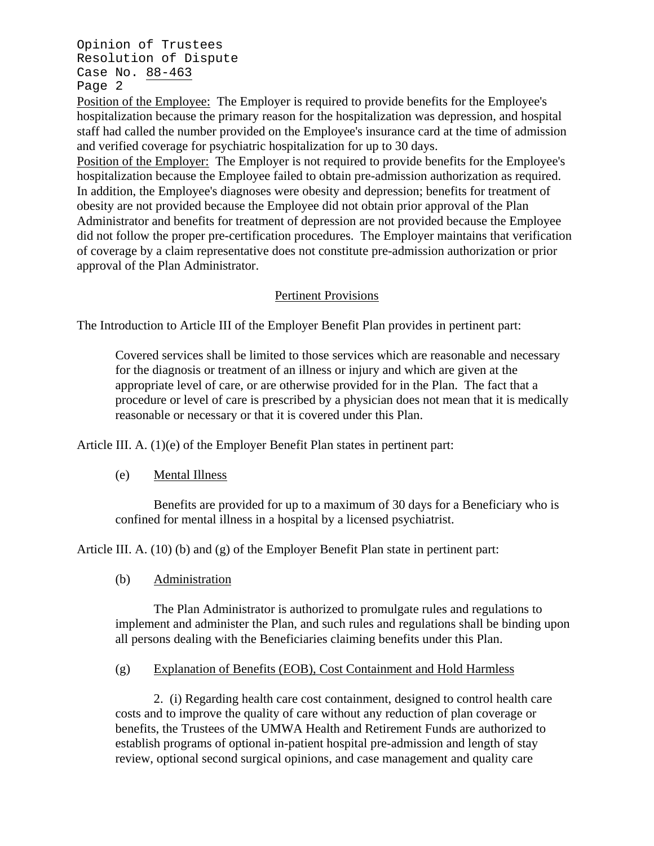Opinion of Trustees Resolution of Dispute Case No. 88-463 Page 2

Position of the Employee: The Employer is required to provide benefits for the Employee's hospitalization because the primary reason for the hospitalization was depression, and hospital staff had called the number provided on the Employee's insurance card at the time of admission and verified coverage for psychiatric hospitalization for up to 30 days.

Position of the Employer: The Employer is not required to provide benefits for the Employee's hospitalization because the Employee failed to obtain pre-admission authorization as required. In addition, the Employee's diagnoses were obesity and depression; benefits for treatment of obesity are not provided because the Employee did not obtain prior approval of the Plan Administrator and benefits for treatment of depression are not provided because the Employee did not follow the proper pre-certification procedures. The Employer maintains that verification of coverage by a claim representative does not constitute pre-admission authorization or prior approval of the Plan Administrator.

# Pertinent Provisions

The Introduction to Article III of the Employer Benefit Plan provides in pertinent part:

Covered services shall be limited to those services which are reasonable and necessary for the diagnosis or treatment of an illness or injury and which are given at the appropriate level of care, or are otherwise provided for in the Plan. The fact that a procedure or level of care is prescribed by a physician does not mean that it is medically reasonable or necessary or that it is covered under this Plan.

Article III. A. (1)(e) of the Employer Benefit Plan states in pertinent part:

(e) Mental Illness

Benefits are provided for up to a maximum of 30 days for a Beneficiary who is confined for mental illness in a hospital by a licensed psychiatrist.

Article III. A. (10) (b) and (g) of the Employer Benefit Plan state in pertinent part:

(b) Administration

The Plan Administrator is authorized to promulgate rules and regulations to implement and administer the Plan, and such rules and regulations shall be binding upon all persons dealing with the Beneficiaries claiming benefits under this Plan.

## (g) Explanation of Benefits (EOB), Cost Containment and Hold Harmless

2. (i) Regarding health care cost containment, designed to control health care costs and to improve the quality of care without any reduction of plan coverage or benefits, the Trustees of the UMWA Health and Retirement Funds are authorized to establish programs of optional in-patient hospital pre-admission and length of stay review, optional second surgical opinions, and case management and quality care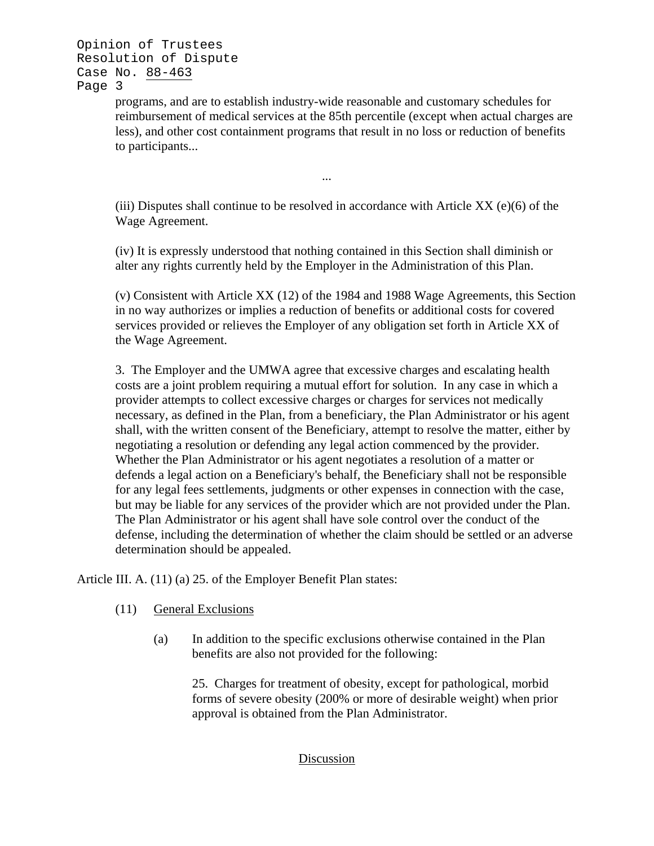Opinion of Trustees Resolution of Dispute Case No. 88-463 Page 3

...

programs, and are to establish industry-wide reasonable and customary schedules for reimbursement of medical services at the 85th percentile (except when actual charges are less), and other cost containment programs that result in no loss or reduction of benefits to participants...

(iii) Disputes shall continue to be resolved in accordance with Article  $XX$  (e)(6) of the Wage Agreement.

(iv) It is expressly understood that nothing contained in this Section shall diminish or alter any rights currently held by the Employer in the Administration of this Plan.

(v) Consistent with Article XX (12) of the 1984 and 1988 Wage Agreements, this Section in no way authorizes or implies a reduction of benefits or additional costs for covered services provided or relieves the Employer of any obligation set forth in Article XX of the Wage Agreement.

3. The Employer and the UMWA agree that excessive charges and escalating health costs are a joint problem requiring a mutual effort for solution. In any case in which a provider attempts to collect excessive charges or charges for services not medically necessary, as defined in the Plan, from a beneficiary, the Plan Administrator or his agent shall, with the written consent of the Beneficiary, attempt to resolve the matter, either by negotiating a resolution or defending any legal action commenced by the provider. Whether the Plan Administrator or his agent negotiates a resolution of a matter or defends a legal action on a Beneficiary's behalf, the Beneficiary shall not be responsible for any legal fees settlements, judgments or other expenses in connection with the case, but may be liable for any services of the provider which are not provided under the Plan. The Plan Administrator or his agent shall have sole control over the conduct of the defense, including the determination of whether the claim should be settled or an adverse determination should be appealed.

Article III. A. (11) (a) 25. of the Employer Benefit Plan states:

- (11) General Exclusions
	- (a) In addition to the specific exclusions otherwise contained in the Plan benefits are also not provided for the following:

25. Charges for treatment of obesity, except for pathological, morbid forms of severe obesity (200% or more of desirable weight) when prior approval is obtained from the Plan Administrator.

## Discussion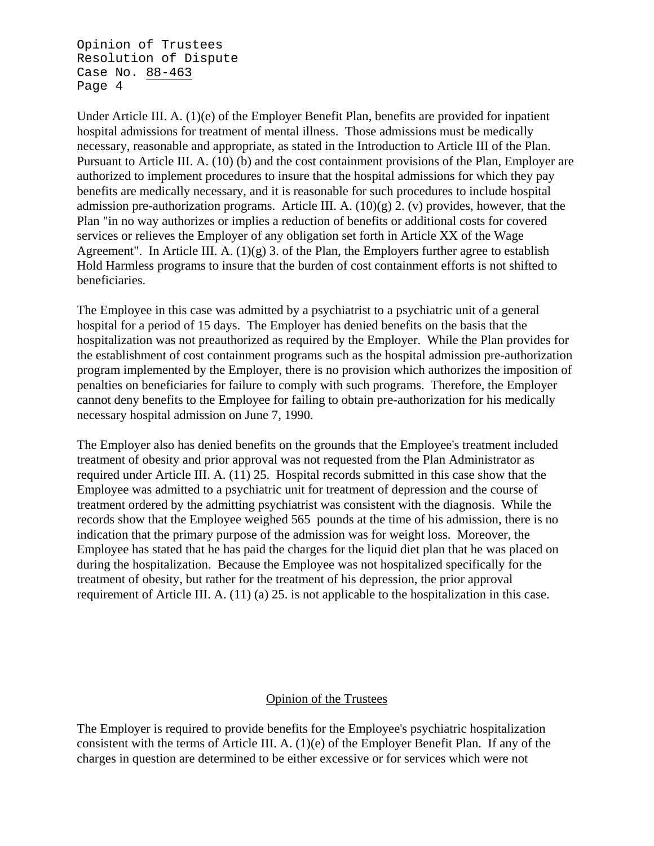Opinion of Trustees Resolution of Dispute Case No. 88-463 Page 4

Under Article III. A. (1)(e) of the Employer Benefit Plan, benefits are provided for inpatient hospital admissions for treatment of mental illness. Those admissions must be medically necessary, reasonable and appropriate, as stated in the Introduction to Article III of the Plan. Pursuant to Article III. A. (10) (b) and the cost containment provisions of the Plan, Employer are authorized to implement procedures to insure that the hospital admissions for which they pay benefits are medically necessary, and it is reasonable for such procedures to include hospital admission pre-authorization programs. Article III. A. (10)(g) 2. (v) provides, however, that the Plan "in no way authorizes or implies a reduction of benefits or additional costs for covered services or relieves the Employer of any obligation set forth in Article XX of the Wage Agreement". In Article III. A. (1)(g) 3. of the Plan, the Employers further agree to establish Hold Harmless programs to insure that the burden of cost containment efforts is not shifted to beneficiaries.

The Employee in this case was admitted by a psychiatrist to a psychiatric unit of a general hospital for a period of 15 days. The Employer has denied benefits on the basis that the hospitalization was not preauthorized as required by the Employer. While the Plan provides for the establishment of cost containment programs such as the hospital admission pre-authorization program implemented by the Employer, there is no provision which authorizes the imposition of penalties on beneficiaries for failure to comply with such programs. Therefore, the Employer cannot deny benefits to the Employee for failing to obtain pre-authorization for his medically necessary hospital admission on June 7, 1990.

The Employer also has denied benefits on the grounds that the Employee's treatment included treatment of obesity and prior approval was not requested from the Plan Administrator as required under Article III. A. (11) 25. Hospital records submitted in this case show that the Employee was admitted to a psychiatric unit for treatment of depression and the course of treatment ordered by the admitting psychiatrist was consistent with the diagnosis. While the records show that the Employee weighed 565 pounds at the time of his admission, there is no indication that the primary purpose of the admission was for weight loss. Moreover, the Employee has stated that he has paid the charges for the liquid diet plan that he was placed on during the hospitalization. Because the Employee was not hospitalized specifically for the treatment of obesity, but rather for the treatment of his depression, the prior approval requirement of Article III. A. (11) (a) 25. is not applicable to the hospitalization in this case.

## Opinion of the Trustees

The Employer is required to provide benefits for the Employee's psychiatric hospitalization consistent with the terms of Article III. A. (1)(e) of the Employer Benefit Plan. If any of the charges in question are determined to be either excessive or for services which were not